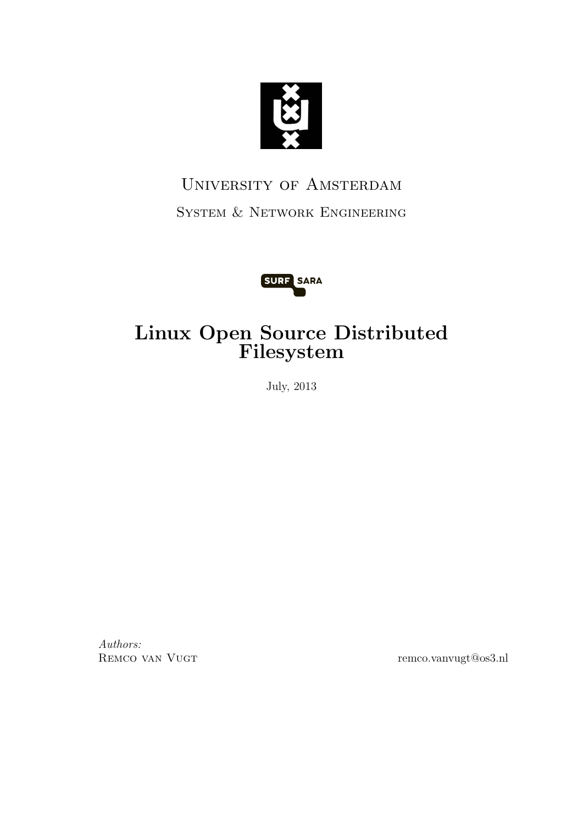

# University of Amsterdam System & Network Engineering



# Linux Open Source Distributed Filesystem

July, 2013

Authors:

REMCO VAN VUGT remco.vanvugt@os3.nl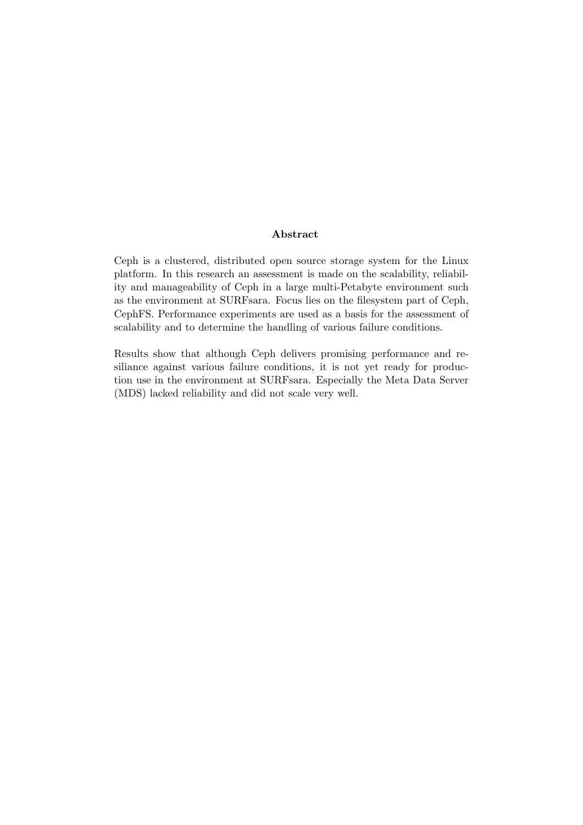#### Abstract

Ceph is a clustered, distributed open source storage system for the Linux platform. In this research an assessment is made on the scalability, reliability and manageability of Ceph in a large multi-Petabyte environment such as the environment at SURFsara. Focus lies on the filesystem part of Ceph, CephFS. Performance experiments are used as a basis for the assessment of scalability and to determine the handling of various failure conditions.

Results show that although Ceph delivers promising performance and resiliance against various failure conditions, it is not yet ready for production use in the environment at SURFsara. Especially the Meta Data Server (MDS) lacked reliability and did not scale very well.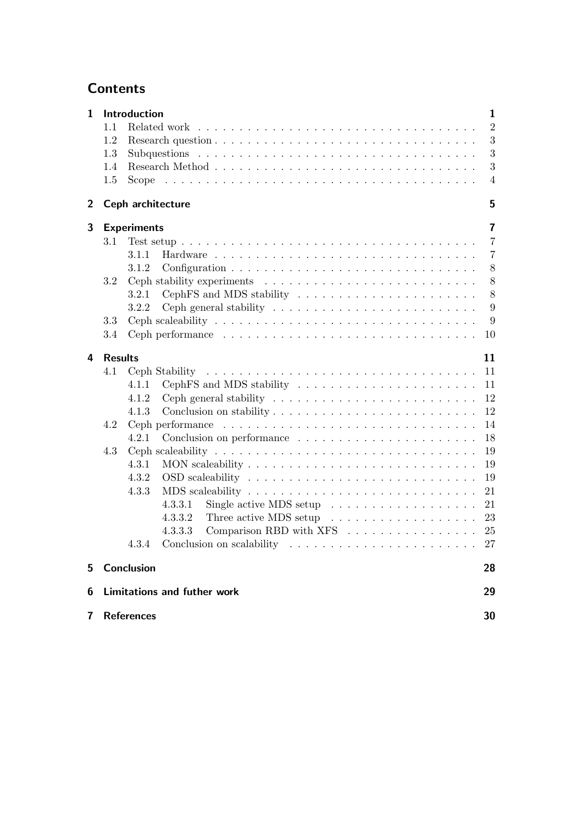# **Contents**

|     |                                    | $\mathbf{1}$                                                                                                                                                                                                                                                                                                                                                                                                                                                                                                                                                                                                                                                                                                                                                                                                              |
|-----|------------------------------------|---------------------------------------------------------------------------------------------------------------------------------------------------------------------------------------------------------------------------------------------------------------------------------------------------------------------------------------------------------------------------------------------------------------------------------------------------------------------------------------------------------------------------------------------------------------------------------------------------------------------------------------------------------------------------------------------------------------------------------------------------------------------------------------------------------------------------|
| 1.1 |                                    | $\overline{2}$                                                                                                                                                                                                                                                                                                                                                                                                                                                                                                                                                                                                                                                                                                                                                                                                            |
| 1.2 |                                    | 3                                                                                                                                                                                                                                                                                                                                                                                                                                                                                                                                                                                                                                                                                                                                                                                                                         |
| 1.3 |                                    | $\boldsymbol{3}$                                                                                                                                                                                                                                                                                                                                                                                                                                                                                                                                                                                                                                                                                                                                                                                                          |
| 1.4 |                                    | 3                                                                                                                                                                                                                                                                                                                                                                                                                                                                                                                                                                                                                                                                                                                                                                                                                         |
| 1.5 |                                    | $\overline{4}$                                                                                                                                                                                                                                                                                                                                                                                                                                                                                                                                                                                                                                                                                                                                                                                                            |
|     |                                    | 5                                                                                                                                                                                                                                                                                                                                                                                                                                                                                                                                                                                                                                                                                                                                                                                                                         |
|     |                                    | 7                                                                                                                                                                                                                                                                                                                                                                                                                                                                                                                                                                                                                                                                                                                                                                                                                         |
| 3.1 |                                    | $\overline{7}$                                                                                                                                                                                                                                                                                                                                                                                                                                                                                                                                                                                                                                                                                                                                                                                                            |
|     | 3.1.1                              | $\overline{7}$                                                                                                                                                                                                                                                                                                                                                                                                                                                                                                                                                                                                                                                                                                                                                                                                            |
|     | 3.1.2                              | 8                                                                                                                                                                                                                                                                                                                                                                                                                                                                                                                                                                                                                                                                                                                                                                                                                         |
|     |                                    | 8                                                                                                                                                                                                                                                                                                                                                                                                                                                                                                                                                                                                                                                                                                                                                                                                                         |
|     |                                    | 8                                                                                                                                                                                                                                                                                                                                                                                                                                                                                                                                                                                                                                                                                                                                                                                                                         |
|     |                                    | 9                                                                                                                                                                                                                                                                                                                                                                                                                                                                                                                                                                                                                                                                                                                                                                                                                         |
|     |                                    | 9                                                                                                                                                                                                                                                                                                                                                                                                                                                                                                                                                                                                                                                                                                                                                                                                                         |
| 3.4 |                                    | 10                                                                                                                                                                                                                                                                                                                                                                                                                                                                                                                                                                                                                                                                                                                                                                                                                        |
|     |                                    | 11                                                                                                                                                                                                                                                                                                                                                                                                                                                                                                                                                                                                                                                                                                                                                                                                                        |
|     |                                    | 11                                                                                                                                                                                                                                                                                                                                                                                                                                                                                                                                                                                                                                                                                                                                                                                                                        |
|     |                                    | 11                                                                                                                                                                                                                                                                                                                                                                                                                                                                                                                                                                                                                                                                                                                                                                                                                        |
|     |                                    | 12                                                                                                                                                                                                                                                                                                                                                                                                                                                                                                                                                                                                                                                                                                                                                                                                                        |
|     |                                    | 12                                                                                                                                                                                                                                                                                                                                                                                                                                                                                                                                                                                                                                                                                                                                                                                                                        |
|     |                                    | 14                                                                                                                                                                                                                                                                                                                                                                                                                                                                                                                                                                                                                                                                                                                                                                                                                        |
|     |                                    | 18                                                                                                                                                                                                                                                                                                                                                                                                                                                                                                                                                                                                                                                                                                                                                                                                                        |
|     |                                    | 19                                                                                                                                                                                                                                                                                                                                                                                                                                                                                                                                                                                                                                                                                                                                                                                                                        |
|     |                                    | 19                                                                                                                                                                                                                                                                                                                                                                                                                                                                                                                                                                                                                                                                                                                                                                                                                        |
|     |                                    | 19                                                                                                                                                                                                                                                                                                                                                                                                                                                                                                                                                                                                                                                                                                                                                                                                                        |
|     |                                    | 21                                                                                                                                                                                                                                                                                                                                                                                                                                                                                                                                                                                                                                                                                                                                                                                                                        |
|     |                                    | 21                                                                                                                                                                                                                                                                                                                                                                                                                                                                                                                                                                                                                                                                                                                                                                                                                        |
|     |                                    |                                                                                                                                                                                                                                                                                                                                                                                                                                                                                                                                                                                                                                                                                                                                                                                                                           |
|     |                                    |                                                                                                                                                                                                                                                                                                                                                                                                                                                                                                                                                                                                                                                                                                                                                                                                                           |
|     | Conclusion on scalability<br>4.3.4 | 27                                                                                                                                                                                                                                                                                                                                                                                                                                                                                                                                                                                                                                                                                                                                                                                                                        |
|     |                                    | 28                                                                                                                                                                                                                                                                                                                                                                                                                                                                                                                                                                                                                                                                                                                                                                                                                        |
|     |                                    |                                                                                                                                                                                                                                                                                                                                                                                                                                                                                                                                                                                                                                                                                                                                                                                                                           |
|     |                                    | 29                                                                                                                                                                                                                                                                                                                                                                                                                                                                                                                                                                                                                                                                                                                                                                                                                        |
|     |                                    |                                                                                                                                                                                                                                                                                                                                                                                                                                                                                                                                                                                                                                                                                                                                                                                                                           |
|     | 3.2<br>3.3<br>4.1<br>4.2<br>4.3    | Introduction<br>Ceph architecture<br><b>Experiments</b><br>Ceph stability experiments $\ldots \ldots \ldots \ldots \ldots \ldots \ldots \ldots$<br>CephFS and MDS stability<br>3.2.1<br>3.2.2<br>Ceph scaleability $\ldots \ldots \ldots \ldots \ldots \ldots \ldots \ldots \ldots \ldots \ldots$<br><b>Results</b><br>CephFS and MDS stability $\dots \dots \dots \dots \dots \dots \dots \dots$<br>4.1.1<br>4.1.2<br>4.1.3<br>4.2.1<br>Ceph scaleability $\ldots \ldots \ldots \ldots \ldots \ldots \ldots \ldots \ldots \ldots$<br>4.3.1<br>4.3.2<br>4.3.3<br>Single active MDS setup $\ldots \ldots \ldots \ldots \ldots$<br>4.3.3.1<br>Three active MDS setup $\ldots \ldots \ldots \ldots \ldots \ldots 23$<br>4.3.3.2<br>Comparison RBD with XFS 25<br>4.3.3.3<br>Conclusion<br><b>Limitations and futher work</b> |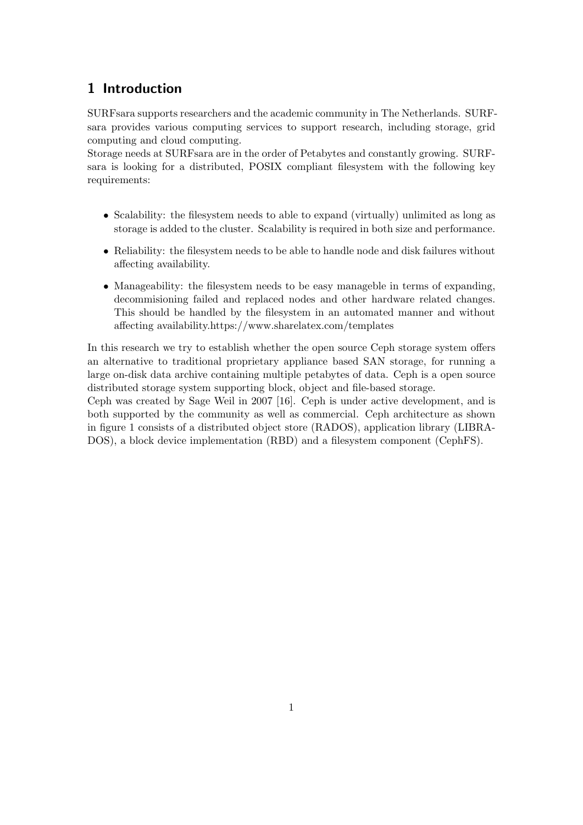# 1 Introduction

SURFsara supports researchers and the academic community in The Netherlands. SURFsara provides various computing services to support research, including storage, grid computing and cloud computing.

Storage needs at SURFsara are in the order of Petabytes and constantly growing. SURFsara is looking for a distributed, POSIX compliant filesystem with the following key requirements:

- Scalability: the filesystem needs to able to expand (virtually) unlimited as long as storage is added to the cluster. Scalability is required in both size and performance.
- Reliability: the filesystem needs to be able to handle node and disk failures without affecting availability.
- Manageability: the filesystem needs to be easy manageble in terms of expanding, decommisioning failed and replaced nodes and other hardware related changes. This should be handled by the filesystem in an automated manner and without affecting availability.https://www.sharelatex.com/templates

In this research we try to establish whether the open source Ceph storage system offers an alternative to traditional proprietary appliance based SAN storage, for running a large on-disk data archive containing multiple petabytes of data. Ceph is a open source distributed storage system supporting block, object and file-based storage.

Ceph was created by Sage Weil in 2007 [16]. Ceph is under active development, and is both supported by the community as well as commercial. Ceph architecture as shown in figure 1 consists of a distributed object store (RADOS), application library (LIBRA-DOS), a block device implementation (RBD) and a filesystem component (CephFS).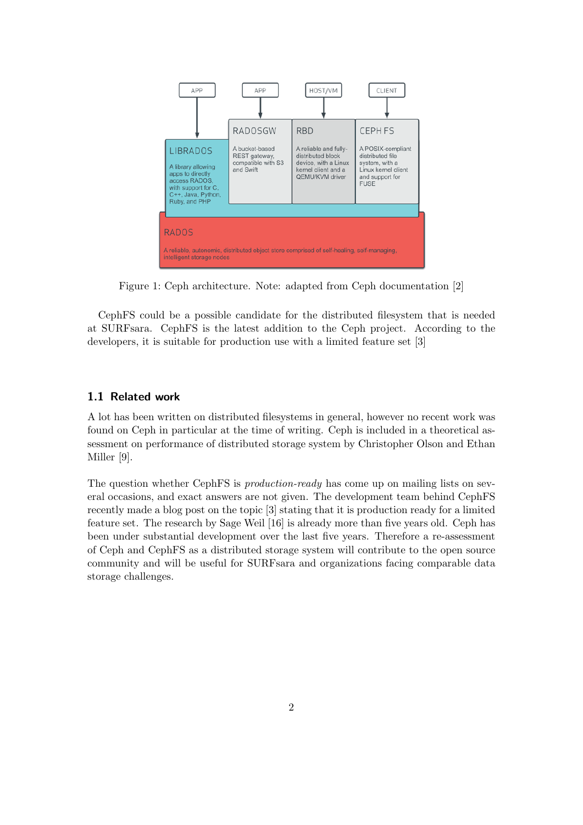

Figure 1: Ceph architecture. Note: adapted from Ceph documentation [2]

CephFS could be a possible candidate for the distributed filesystem that is needed at SURFsara. CephFS is the latest addition to the Ceph project. According to the developers, it is suitable for production use with a limited feature set [3]

#### 1.1 Related work

A lot has been written on distributed filesystems in general, however no recent work was found on Ceph in particular at the time of writing. Ceph is included in a theoretical assessment on performance of distributed storage system by Christopher Olson and Ethan Miller [9].

The question whether CephFS is *production-ready* has come up on mailing lists on several occasions, and exact answers are not given. The development team behind CephFS recently made a blog post on the topic [3] stating that it is production ready for a limited feature set. The research by Sage Weil [16] is already more than five years old. Ceph has been under substantial development over the last five years. Therefore a re-assessment of Ceph and CephFS as a distributed storage system will contribute to the open source community and will be useful for SURFsara and organizations facing comparable data storage challenges.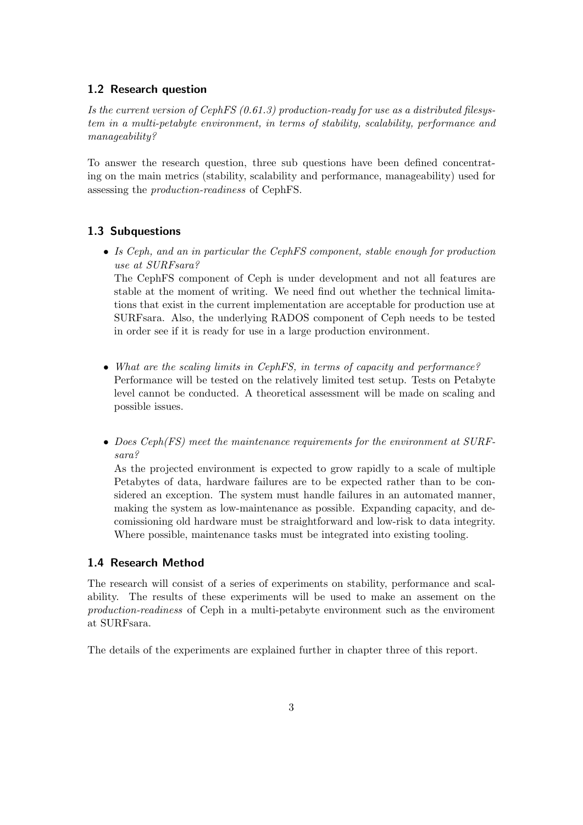## 1.2 Research question

Is the current version of CephFS (0.61.3) production-ready for use as a distributed filesystem in a multi-petabyte environment, in terms of stability, scalability, performance and manageability?

To answer the research question, three sub questions have been defined concentrating on the main metrics (stability, scalability and performance, manageability) used for assessing the production-readiness of CephFS.

## 1.3 Subquestions

• Is Ceph, and an in particular the CephFS component, stable enough for production use at SURFsara?

The CephFS component of Ceph is under development and not all features are stable at the moment of writing. We need find out whether the technical limitations that exist in the current implementation are acceptable for production use at SURFsara. Also, the underlying RADOS component of Ceph needs to be tested in order see if it is ready for use in a large production environment.

- What are the scaling limits in CephFS, in terms of capacity and performance? Performance will be tested on the relatively limited test setup. Tests on Petabyte level cannot be conducted. A theoretical assessment will be made on scaling and possible issues.
- Does Ceph(FS) meet the maintenance requirements for the environment at SURFsara?

As the projected environment is expected to grow rapidly to a scale of multiple Petabytes of data, hardware failures are to be expected rather than to be considered an exception. The system must handle failures in an automated manner, making the system as low-maintenance as possible. Expanding capacity, and decomissioning old hardware must be straightforward and low-risk to data integrity. Where possible, maintenance tasks must be integrated into existing tooling.

#### 1.4 Research Method

The research will consist of a series of experiments on stability, performance and scalability. The results of these experiments will be used to make an assement on the production-readiness of Ceph in a multi-petabyte environment such as the enviroment at SURFsara.

The details of the experiments are explained further in chapter three of this report.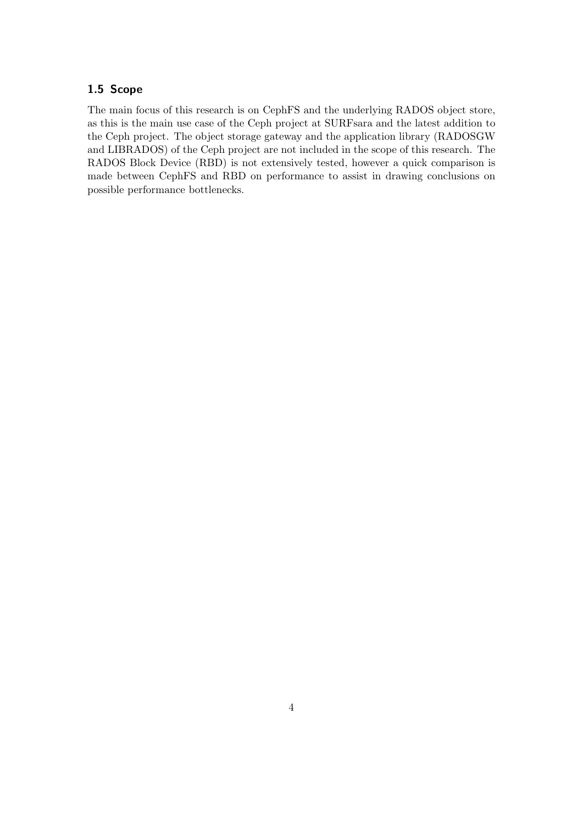## 1.5 Scope

The main focus of this research is on CephFS and the underlying RADOS object store, as this is the main use case of the Ceph project at SURFsara and the latest addition to the Ceph project. The object storage gateway and the application library (RADOSGW and LIBRADOS) of the Ceph project are not included in the scope of this research. The RADOS Block Device (RBD) is not extensively tested, however a quick comparison is made between CephFS and RBD on performance to assist in drawing conclusions on possible performance bottlenecks.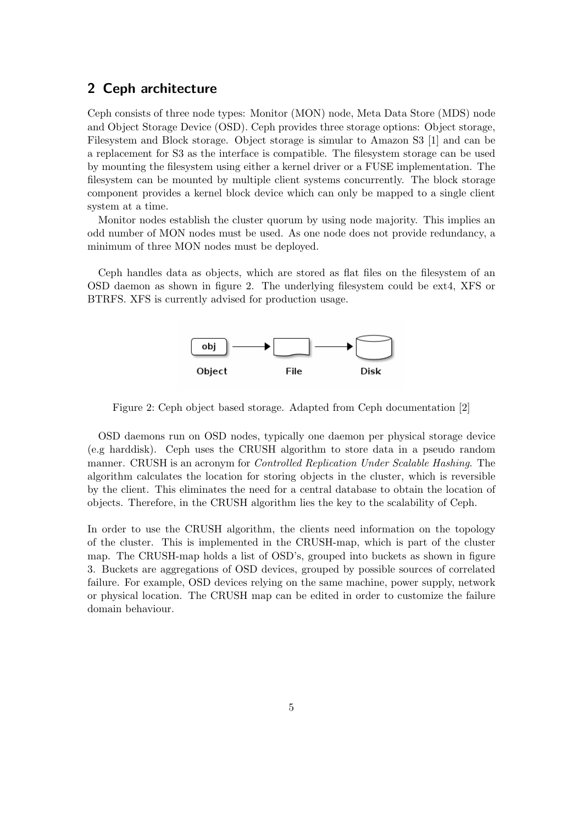# 2 Ceph architecture

Ceph consists of three node types: Monitor (MON) node, Meta Data Store (MDS) node and Object Storage Device (OSD). Ceph provides three storage options: Object storage, Filesystem and Block storage. Object storage is simular to Amazon S3 [1] and can be a replacement for S3 as the interface is compatible. The filesystem storage can be used by mounting the filesystem using either a kernel driver or a FUSE implementation. The filesystem can be mounted by multiple client systems concurrently. The block storage component provides a kernel block device which can only be mapped to a single client system at a time.

Monitor nodes establish the cluster quorum by using node majority. This implies an odd number of MON nodes must be used. As one node does not provide redundancy, a minimum of three MON nodes must be deployed.

Ceph handles data as objects, which are stored as flat files on the filesystem of an OSD daemon as shown in figure 2. The underlying filesystem could be ext4, XFS or BTRFS. XFS is currently advised for production usage.



Figure 2: Ceph object based storage. Adapted from Ceph documentation [2]

OSD daemons run on OSD nodes, typically one daemon per physical storage device (e.g harddisk). Ceph uses the CRUSH algorithm to store data in a pseudo random manner. CRUSH is an acronym for Controlled Replication Under Scalable Hashing. The algorithm calculates the location for storing objects in the cluster, which is reversible by the client. This eliminates the need for a central database to obtain the location of objects. Therefore, in the CRUSH algorithm lies the key to the scalability of Ceph.

In order to use the CRUSH algorithm, the clients need information on the topology of the cluster. This is implemented in the CRUSH-map, which is part of the cluster map. The CRUSH-map holds a list of OSD's, grouped into buckets as shown in figure 3. Buckets are aggregations of OSD devices, grouped by possible sources of correlated failure. For example, OSD devices relying on the same machine, power supply, network or physical location. The CRUSH map can be edited in order to customize the failure domain behaviour.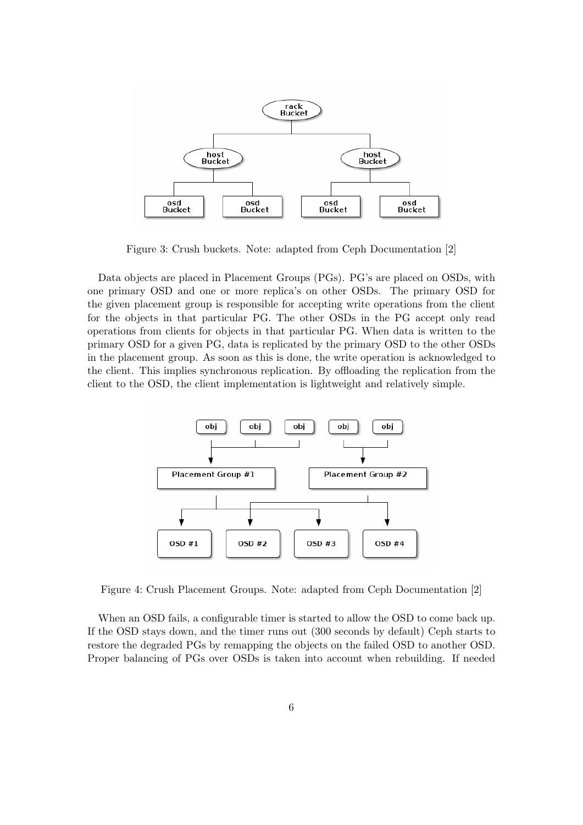

Figure 3: Crush buckets. Note: adapted from Ceph Documentation [2]

Data objects are placed in Placement Groups (PGs). PG's are placed on OSDs, with one primary OSD and one or more replica's on other OSDs. The primary OSD for the given placement group is responsible for accepting write operations from the client for the objects in that particular PG. The other OSDs in the PG accept only read operations from clients for objects in that particular PG. When data is written to the primary OSD for a given PG, data is replicated by the primary OSD to the other OSDs in the placement group. As soon as this is done, the write operation is acknowledged to the client. This implies synchronous replication. By offloading the replication from the client to the OSD, the client implementation is lightweight and relatively simple.



Figure 4: Crush Placement Groups. Note: adapted from Ceph Documentation [2]

When an OSD fails, a configurable timer is started to allow the OSD to come back up. If the OSD stays down, and the timer runs out (300 seconds by default) Ceph starts to restore the degraded PGs by remapping the objects on the failed OSD to another OSD. Proper balancing of PGs over OSDs is taken into account when rebuilding. If needed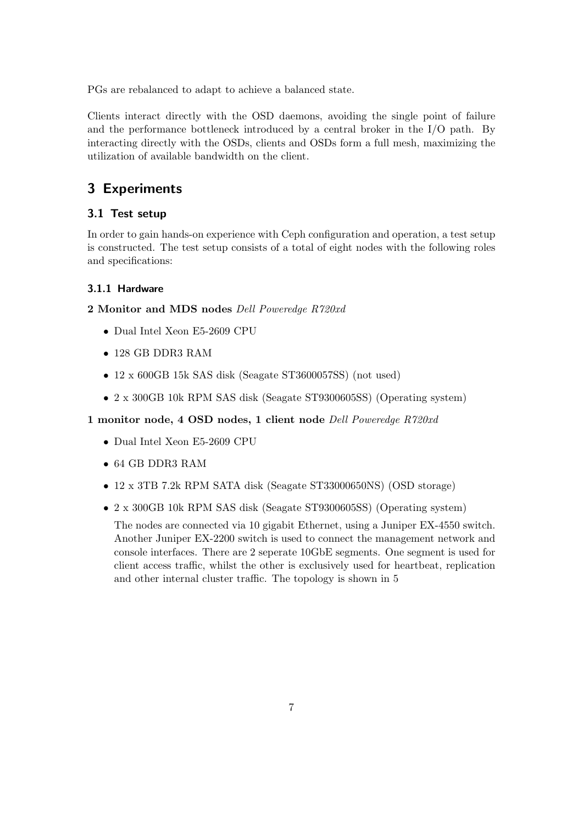PGs are rebalanced to adapt to achieve a balanced state.

Clients interact directly with the OSD daemons, avoiding the single point of failure and the performance bottleneck introduced by a central broker in the I/O path. By interacting directly with the OSDs, clients and OSDs form a full mesh, maximizing the utilization of available bandwidth on the client.

# 3 Experiments

## 3.1 Test setup

In order to gain hands-on experience with Ceph configuration and operation, a test setup is constructed. The test setup consists of a total of eight nodes with the following roles and specifications:

#### 3.1.1 Hardware

2 Monitor and MDS nodes Dell Poweredge R720xd

- Dual Intel Xeon E5-2609 CPU
- 128 GB DDR3 RAM
- 12 x 600GB 15k SAS disk (Seagate ST3600057SS) (not used)
- 2 x 300GB 10k RPM SAS disk (Seagate ST9300605SS) (Operating system)

#### 1 monitor node, 4 OSD nodes, 1 client node Dell Poweredge R720xd

- Dual Intel Xeon E5-2609 CPU
- 64 GB DDR3 RAM
- 12 x 3TB 7.2k RPM SATA disk (Seagate ST33000650NS) (OSD storage)
- 2 x 300GB 10k RPM SAS disk (Seagate ST9300605SS) (Operating system)

The nodes are connected via 10 gigabit Ethernet, using a Juniper EX-4550 switch. Another Juniper EX-2200 switch is used to connect the management network and console interfaces. There are 2 seperate 10GbE segments. One segment is used for client access traffic, whilst the other is exclusively used for heartbeat, replication and other internal cluster traffic. The topology is shown in 5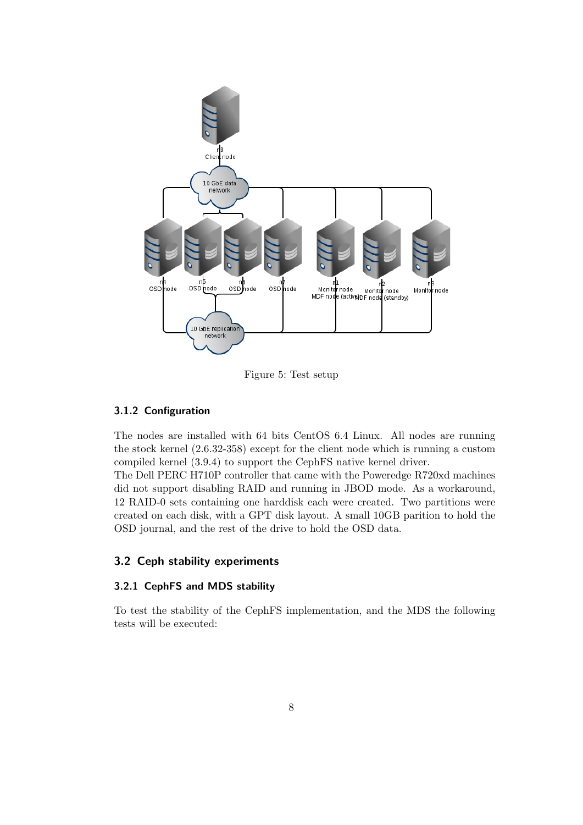

Figure 5: Test setup

#### 3.1.2 Configuration

The nodes are installed with 64 bits CentOS 6.4 Linux. All nodes are running the stock kernel (2.6.32-358) except for the client node which is running a custom compiled kernel (3.9.4) to support the CephFS native kernel driver.

The Dell PERC H710P controller that came with the Poweredge R720xd machines did not support disabling RAID and running in JBOD mode. As a workaround, 12 RAID-0 sets containing one harddisk each were created. Two partitions were created on each disk, with a GPT disk layout. A small 10GB parition to hold the OSD journal, and the rest of the drive to hold the OSD data.

#### 3.2 Ceph stability experiments

#### 3.2.1 CephFS and MDS stability

To test the stability of the CephFS implementation, and the MDS the following tests will be executed: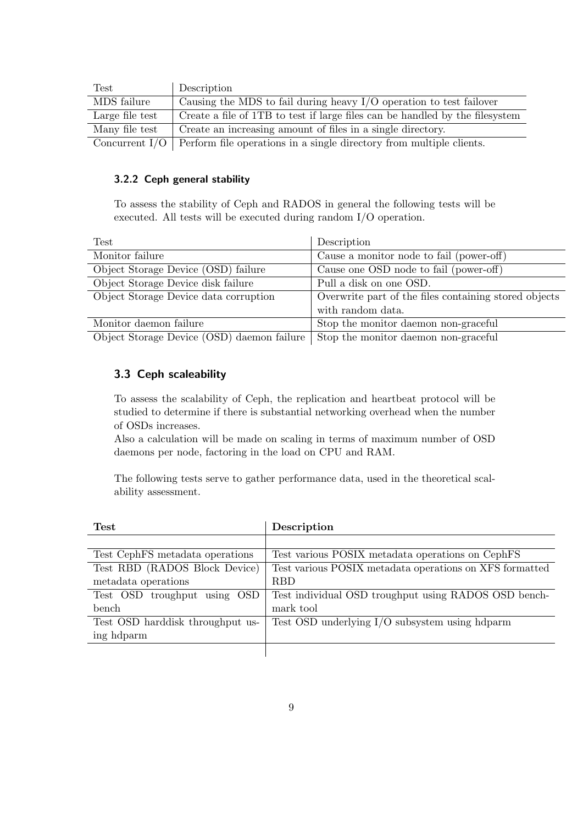| $\operatorname{Test}$ | Description                                                                           |
|-----------------------|---------------------------------------------------------------------------------------|
| MDS failure           | Causing the MDS to fail during heavy $I/O$ operation to test failover                 |
| Large file test       | Create a file of 1TB to test if large files can be handled by the filesystem          |
| Many file test        | Create an increasing amount of files in a single directory.                           |
|                       | Concurrent $I/O$ Perform file operations in a single directory from multiple clients. |

#### 3.2.2 Ceph general stability

To assess the stability of Ceph and RADOS in general the following tests will be executed. All tests will be executed during random I/O operation.

| <b>Test</b>                           | Description                                                                             |
|---------------------------------------|-----------------------------------------------------------------------------------------|
| Monitor failure                       | Cause a monitor node to fail (power-off)                                                |
| Object Storage Device (OSD) failure   | Cause one OSD node to fail (power-off)                                                  |
| Object Storage Device disk failure    | Pull a disk on one OSD.                                                                 |
| Object Storage Device data corruption | Overwrite part of the files containing stored objects                                   |
|                                       | with random data.                                                                       |
| Monitor daemon failure                | Stop the monitor daemon non-graceful                                                    |
|                                       | Object Storage Device $(SD)$ daemon failure $\Box$ Stop the monitor daemon non-graceful |

age Device (OSD) daemon failure  $\mid$  Stop the monitor daemon non-graceful

## 3.3 Ceph scaleability

To assess the scalability of Ceph, the replication and heartbeat protocol will be studied to determine if there is substantial networking overhead when the number of OSDs increases.

Also a calculation will be made on scaling in terms of maximum number of OSD daemons per node, factoring in the load on CPU and RAM.

The following tests serve to gather performance data, used in the theoretical scalability assessment.

| <b>Test</b>                      | Description                                             |
|----------------------------------|---------------------------------------------------------|
|                                  |                                                         |
| Test CephFS metadata operations  | Test various POSIX metadata operations on CephFS        |
| Test RBD (RADOS Block Device)    | Test various POSIX metadata operations on XFS formatted |
| metadata operations              | <b>RBD</b>                                              |
| Test OSD troughput using OSD     | Test individual OSD troughput using RADOS OSD bench-    |
| bench                            | mark tool                                               |
| Test OSD harddisk throughput us- | Test OSD underlying I/O subsystem using hdparm          |
| ing hdparm                       |                                                         |
|                                  |                                                         |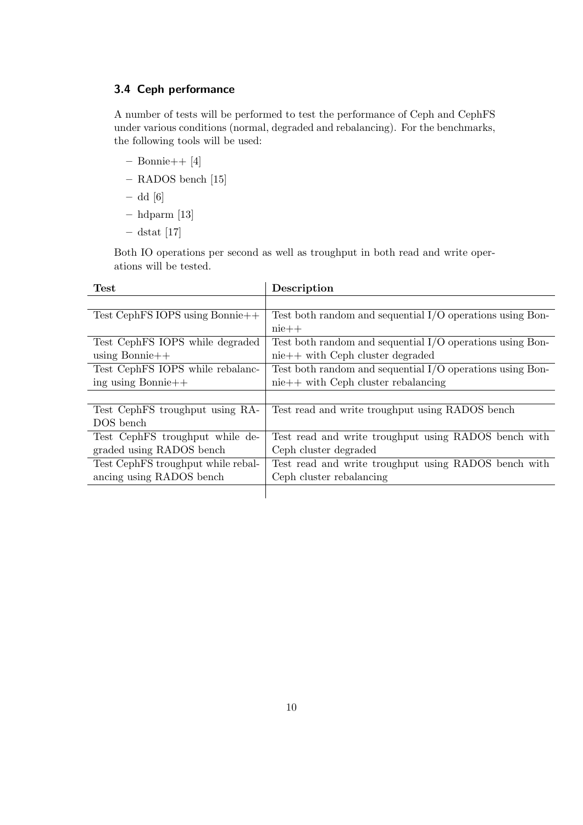# 3.4 Ceph performance

A number of tests will be performed to test the performance of Ceph and CephFS under various conditions (normal, degraded and rebalancing). For the benchmarks, the following tools will be used:

- Bonnie++ [4]
- RADOS bench [15]

– dd [6]

- hdparm [13]
- $-$  dstat [17]

Both IO operations per second as well as troughput in both read and write operations will be tested.

| <b>Test</b>                        | Description                                                 |
|------------------------------------|-------------------------------------------------------------|
|                                    |                                                             |
| Test CephFS IOPS using Bonnie++    | Test both random and sequential $I/O$ operations using Bon- |
|                                    | $nie++$                                                     |
| Test CephFS IOPS while degraded    | Test both random and sequential $I/O$ operations using Bon- |
| using Bonnie+ $+$                  | $nie++$ with Ceph cluster degraded                          |
| Test CephFS IOPS while rebalanc-   | Test both random and sequential $I/O$ operations using Bon- |
| $\frac{1}{2}$ ing using Bonnie++   | $nie++$ with Ceph cluster rebalancing                       |
|                                    |                                                             |
| Test CephFS troughput using RA-    | Test read and write troughput using RADOS bench             |
| DOS bench                          |                                                             |
| Test CephFS troughput while de-    | Test read and write troughput using RADOS bench with        |
| graded using RADOS bench           | Ceph cluster degraded                                       |
| Test CephFS troughput while rebal- | Test read and write troughput using RADOS bench with        |
| ancing using RADOS bench           | Ceph cluster rebalancing                                    |
|                                    |                                                             |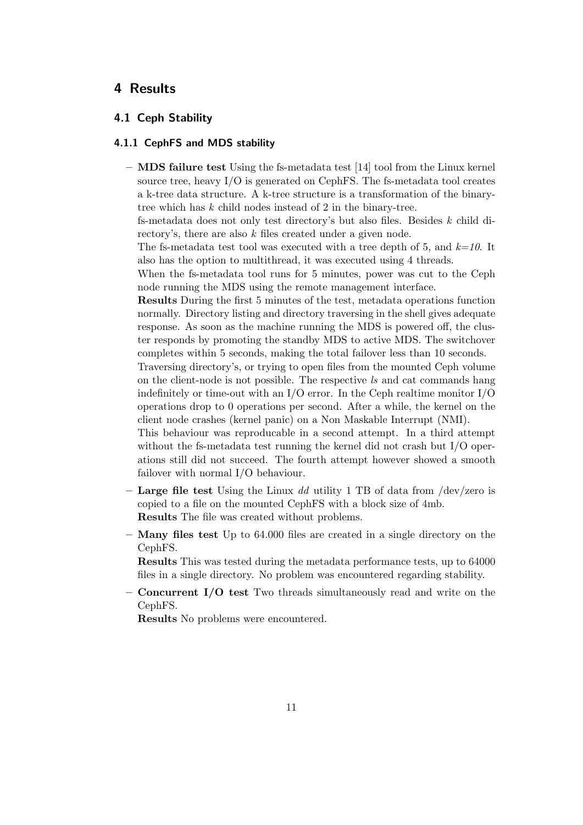# 4 Results

#### 4.1 Ceph Stability

#### 4.1.1 CephFS and MDS stability

 $-$  MDS failure test Using the fs-metadata test [14] tool from the Linux kernel source tree, heavy  $I/O$  is generated on CephFS. The fs-metadata tool creates a k-tree data structure. A k-tree structure is a transformation of the binarytree which has k child nodes instead of 2 in the binary-tree.

fs-metadata does not only test directory's but also files. Besides  $k$  child directory's, there are also k files created under a given node.

The fs-metadata test tool was executed with a tree depth of 5, and  $k=10$ . It also has the option to multithread, it was executed using 4 threads.

When the fs-metadata tool runs for 5 minutes, power was cut to the Ceph node running the MDS using the remote management interface.

Results During the first 5 minutes of the test, metadata operations function normally. Directory listing and directory traversing in the shell gives adequate response. As soon as the machine running the MDS is powered off, the cluster responds by promoting the standby MDS to active MDS. The switchover completes within 5 seconds, making the total failover less than 10 seconds.

Traversing directory's, or trying to open files from the mounted Ceph volume on the client-node is not possible. The respective ls and cat commands hang indefinitely or time-out with an  $I/O$  error. In the Ceph realtime monitor  $I/O$ operations drop to 0 operations per second. After a while, the kernel on the client node crashes (kernel panic) on a Non Maskable Interrupt (NMI).

This behaviour was reproducable in a second attempt. In a third attempt without the fs-metadata test running the kernel did not crash but I/O operations still did not succeed. The fourth attempt however showed a smooth failover with normal I/O behaviour.

- Large file test Using the Linux dd utility 1 TB of data from /dev/zero is copied to a file on the mounted CephFS with a block size of 4mb. Results The file was created without problems.
- Many files test Up to 64.000 files are created in a single directory on the CephFS.

Results This was tested during the metadata performance tests, up to 64000 files in a single directory. No problem was encountered regarding stability.

– Concurrent I/O test Two threads simultaneously read and write on the CephFS.

Results No problems were encountered.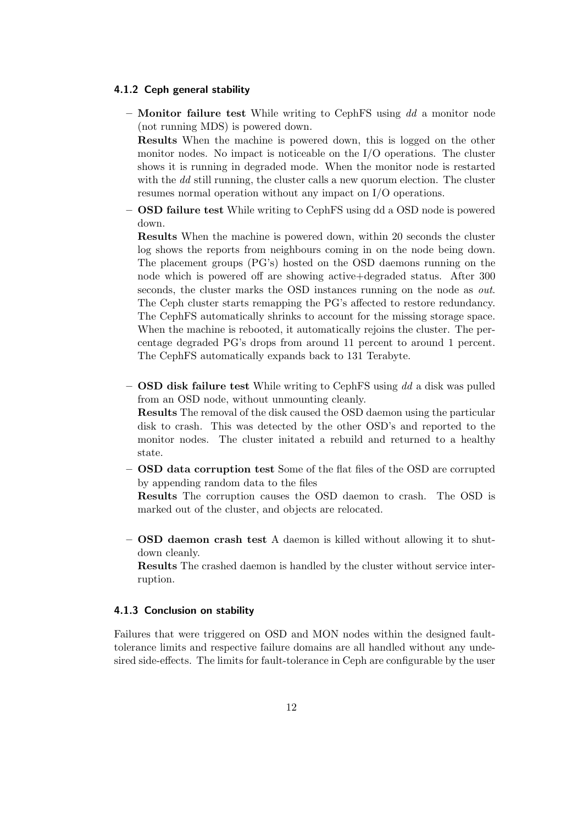#### 4.1.2 Ceph general stability

– **Monitor failure test** While writing to CephFS using  $dd$  a monitor node (not running MDS) is powered down. Results When the machine is powered down, this is logged on the other

monitor nodes. No impact is noticeable on the  $I/O$  operations. The cluster shows it is running in degraded mode. When the monitor node is restarted with the dd still running, the cluster calls a new quorum election. The cluster resumes normal operation without any impact on I/O operations.

– OSD failure test While writing to CephFS using dd a OSD node is powered down.

Results When the machine is powered down, within 20 seconds the cluster log shows the reports from neighbours coming in on the node being down. The placement groups (PG's) hosted on the OSD daemons running on the node which is powered off are showing active+degraded status. After 300 seconds, the cluster marks the OSD instances running on the node as *out*. The Ceph cluster starts remapping the PG's affected to restore redundancy. The CephFS automatically shrinks to account for the missing storage space. When the machine is rebooted, it automatically rejoins the cluster. The percentage degraded PG's drops from around 11 percent to around 1 percent. The CephFS automatically expands back to 131 Terabyte.

- OSD disk failure test While writing to CephFS using  $dd$  a disk was pulled from an OSD node, without unmounting cleanly. Results The removal of the disk caused the OSD daemon using the particular disk to crash. This was detected by the other OSD's and reported to the monitor nodes. The cluster initated a rebuild and returned to a healthy state.
- OSD data corruption test Some of the flat files of the OSD are corrupted by appending random data to the files

Results The corruption causes the OSD daemon to crash. The OSD is marked out of the cluster, and objects are relocated.

– OSD daemon crash test A daemon is killed without allowing it to shutdown cleanly.

Results The crashed daemon is handled by the cluster without service interruption.

#### 4.1.3 Conclusion on stability

Failures that were triggered on OSD and MON nodes within the designed faulttolerance limits and respective failure domains are all handled without any undesired side-effects. The limits for fault-tolerance in Ceph are configurable by the user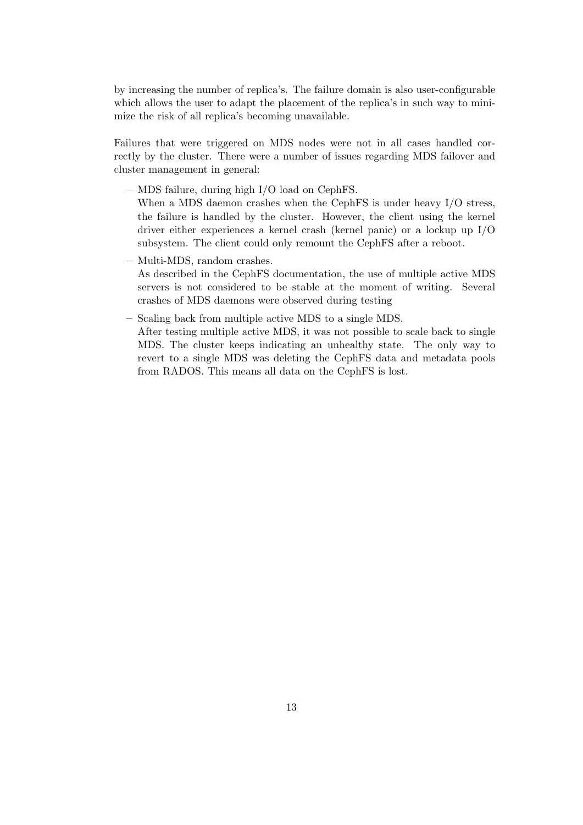by increasing the number of replica's. The failure domain is also user-configurable which allows the user to adapt the placement of the replica's in such way to minimize the risk of all replica's becoming unavailable.

Failures that were triggered on MDS nodes were not in all cases handled correctly by the cluster. There were a number of issues regarding MDS failover and cluster management in general:

– MDS failure, during high I/O load on CephFS.

When a MDS daemon crashes when the CephFS is under heavy I/O stress, the failure is handled by the cluster. However, the client using the kernel driver either experiences a kernel crash (kernel panic) or a lockup up I/O subsystem. The client could only remount the CephFS after a reboot.

– Multi-MDS, random crashes.

As described in the CephFS documentation, the use of multiple active MDS servers is not considered to be stable at the moment of writing. Several crashes of MDS daemons were observed during testing

– Scaling back from multiple active MDS to a single MDS. After testing multiple active MDS, it was not possible to scale back to single MDS. The cluster keeps indicating an unhealthy state. The only way to revert to a single MDS was deleting the CephFS data and metadata pools from RADOS. This means all data on the CephFS is lost.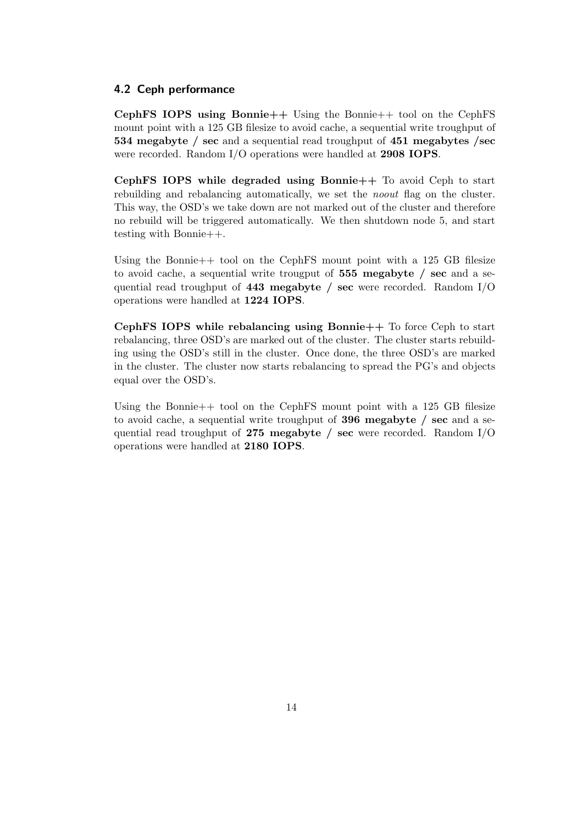#### 4.2 Ceph performance

CephFS IOPS using Bonnie++ Using the Bonnie++ tool on the CephFS mount point with a 125 GB filesize to avoid cache, a sequential write troughput of 534 megabyte / sec and a sequential read troughput of 451 megabytes /sec were recorded. Random I/O operations were handled at 2908 IOPS.

CephFS IOPS while degraded using Bonnie++ To avoid Ceph to start rebuilding and rebalancing automatically, we set the *noout* flag on the cluster. This way, the OSD's we take down are not marked out of the cluster and therefore no rebuild will be triggered automatically. We then shutdown node 5, and start testing with Bonnie++.

Using the Bonnie++ tool on the CephFS mount point with a 125 GB filesize to avoid cache, a sequential write trougput of 555 megabyte / sec and a sequential read troughput of 443 megabyte / sec were recorded. Random  $I/O$ operations were handled at 1224 IOPS.

CephFS IOPS while rebalancing using Bonnie++ To force Ceph to start rebalancing, three OSD's are marked out of the cluster. The cluster starts rebuilding using the OSD's still in the cluster. Once done, the three OSD's are marked in the cluster. The cluster now starts rebalancing to spread the PG's and objects equal over the OSD's.

Using the Bonnie++ tool on the CephFS mount point with a 125 GB filesize to avoid cache, a sequential write troughput of 396 megabyte / sec and a sequential read troughput of 275 megabyte / sec were recorded. Random  $I/O$ operations were handled at 2180 IOPS.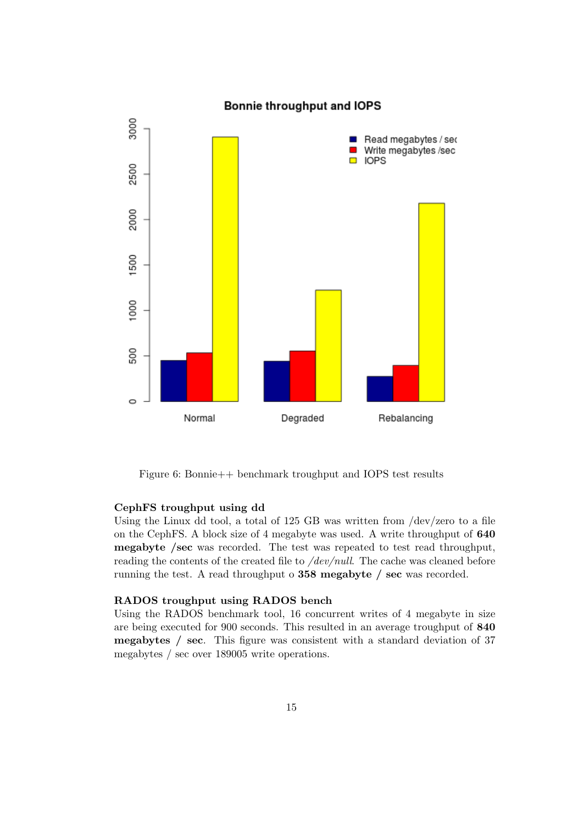

Figure 6: Bonnie++ benchmark troughput and IOPS test results

#### CephFS troughput using dd

Using the Linux dd tool, a total of 125 GB was written from /dev/zero to a file on the CephFS. A block size of 4 megabyte was used. A write throughput of 640 megabyte /sec was recorded. The test was repeated to test read throughput, reading the contents of the created file to /dev/null. The cache was cleaned before running the test. A read throughput o 358 megabyte / sec was recorded.

#### RADOS troughput using RADOS bench

Using the RADOS benchmark tool, 16 concurrent writes of 4 megabyte in size are being executed for 900 seconds. This resulted in an average troughput of 840 megabytes / sec. This figure was consistent with a standard deviation of 37 megabytes / sec over 189005 write operations.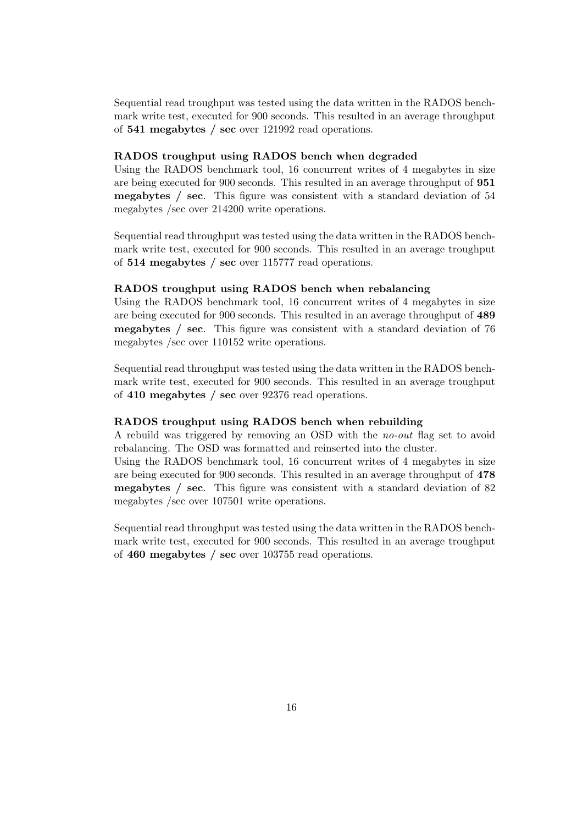Sequential read troughput was tested using the data written in the RADOS benchmark write test, executed for 900 seconds. This resulted in an average throughput of 541 megabytes / sec over 121992 read operations.

#### RADOS troughput using RADOS bench when degraded

Using the RADOS benchmark tool, 16 concurrent writes of 4 megabytes in size are being executed for 900 seconds. This resulted in an average throughput of 951 megabytes / sec. This figure was consistent with a standard deviation of 54 megabytes /sec over 214200 write operations.

Sequential read throughput was tested using the data written in the RADOS benchmark write test, executed for 900 seconds. This resulted in an average troughput of 514 megabytes / sec over 115777 read operations.

#### RADOS troughput using RADOS bench when rebalancing

Using the RADOS benchmark tool, 16 concurrent writes of 4 megabytes in size are being executed for 900 seconds. This resulted in an average throughput of 489 megabytes / sec. This figure was consistent with a standard deviation of 76 megabytes /sec over 110152 write operations.

Sequential read throughput was tested using the data written in the RADOS benchmark write test, executed for 900 seconds. This resulted in an average troughput of 410 megabytes / sec over 92376 read operations.

#### RADOS troughput using RADOS bench when rebuilding

A rebuild was triggered by removing an OSD with the no-out flag set to avoid rebalancing. The OSD was formatted and reinserted into the cluster.

Using the RADOS benchmark tool, 16 concurrent writes of 4 megabytes in size are being executed for 900 seconds. This resulted in an average throughput of 478 megabytes / sec. This figure was consistent with a standard deviation of 82 megabytes /sec over 107501 write operations.

Sequential read throughput was tested using the data written in the RADOS benchmark write test, executed for 900 seconds. This resulted in an average troughput of 460 megabytes / sec over 103755 read operations.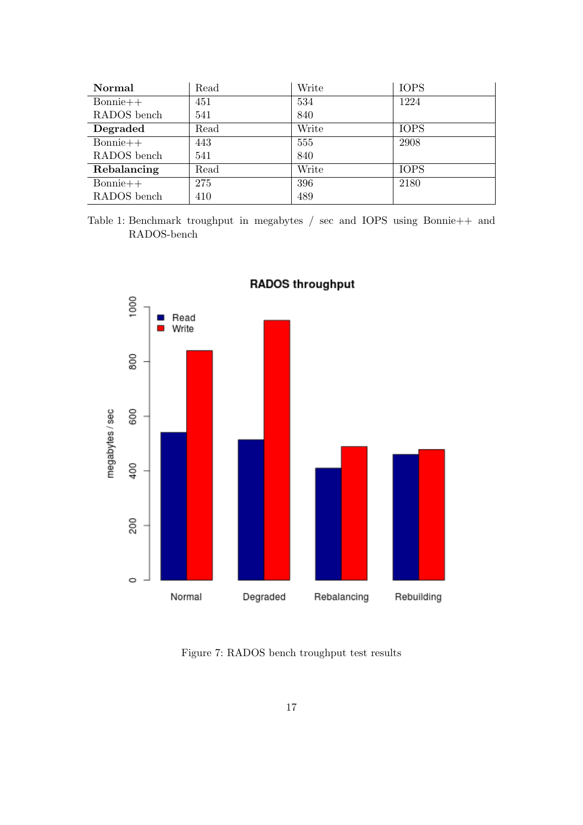| Normal      | Read | Write | <b>IOPS</b> |
|-------------|------|-------|-------------|
| $Bonnie++$  | 451  | 534   | 1224        |
| RADOS bench | 541  | 840   |             |
| Degraded    | Read | Write | <b>IOPS</b> |
| $Bonnie++$  | 443  | 555   | 2908        |
| RADOS bench | 541  | 840   |             |
| Rebalancing | Read | Write | <b>IOPS</b> |
| $Bonnie++$  | 275  | 396   | 2180        |
| RADOS bench | 410  | 489   |             |

Table 1: Benchmark troughput in megabytes / sec and IOPS using Bonnie++ and RADOS-bench



**RADOS throughput** 

Figure 7: RADOS bench troughput test results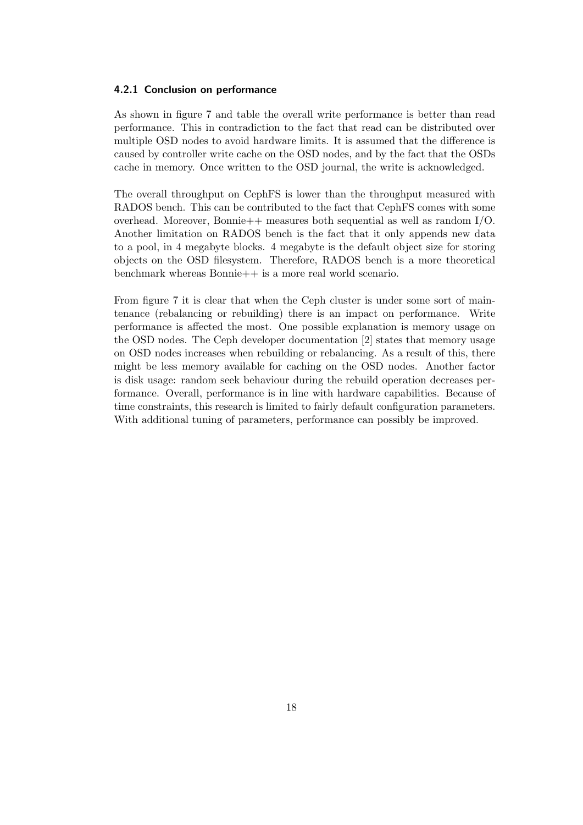#### 4.2.1 Conclusion on performance

As shown in figure 7 and table the overall write performance is better than read performance. This in contradiction to the fact that read can be distributed over multiple OSD nodes to avoid hardware limits. It is assumed that the difference is caused by controller write cache on the OSD nodes, and by the fact that the OSDs cache in memory. Once written to the OSD journal, the write is acknowledged.

The overall throughput on CephFS is lower than the throughput measured with RADOS bench. This can be contributed to the fact that CephFS comes with some overhead. Moreover, Bonnie++ measures both sequential as well as random  $I/O$ . Another limitation on RADOS bench is the fact that it only appends new data to a pool, in 4 megabyte blocks. 4 megabyte is the default object size for storing objects on the OSD filesystem. Therefore, RADOS bench is a more theoretical benchmark whereas Bonnie++ is a more real world scenario.

From figure 7 it is clear that when the Ceph cluster is under some sort of maintenance (rebalancing or rebuilding) there is an impact on performance. Write performance is affected the most. One possible explanation is memory usage on the OSD nodes. The Ceph developer documentation [2] states that memory usage on OSD nodes increases when rebuilding or rebalancing. As a result of this, there might be less memory available for caching on the OSD nodes. Another factor is disk usage: random seek behaviour during the rebuild operation decreases performance. Overall, performance is in line with hardware capabilities. Because of time constraints, this research is limited to fairly default configuration parameters. With additional tuning of parameters, performance can possibly be improved.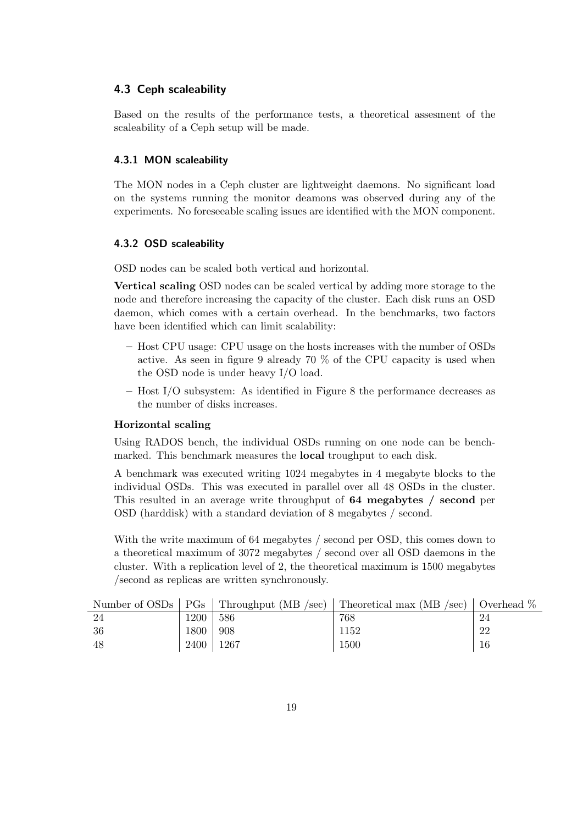#### 4.3 Ceph scaleability

Based on the results of the performance tests, a theoretical assesment of the scaleability of a Ceph setup will be made.

#### 4.3.1 MON scaleability

The MON nodes in a Ceph cluster are lightweight daemons. No significant load on the systems running the monitor deamons was observed during any of the experiments. No foreseeable scaling issues are identified with the MON component.

#### 4.3.2 OSD scaleability

OSD nodes can be scaled both vertical and horizontal.

Vertical scaling OSD nodes can be scaled vertical by adding more storage to the node and therefore increasing the capacity of the cluster. Each disk runs an OSD daemon, which comes with a certain overhead. In the benchmarks, two factors have been identified which can limit scalability:

- Host CPU usage: CPU usage on the hosts increases with the number of OSDs active. As seen in figure 9 already 70  $\%$  of the CPU capacity is used when the OSD node is under heavy I/O load.
- Host I/O subsystem: As identified in Figure 8 the performance decreases as the number of disks increases.

#### Horizontal scaling

Using RADOS bench, the individual OSDs running on one node can be benchmarked. This benchmark measures the local troughput to each disk.

A benchmark was executed writing 1024 megabytes in 4 megabyte blocks to the individual OSDs. This was executed in parallel over all 48 OSDs in the cluster. This resulted in an average write throughput of 64 megabytes / second per OSD (harddisk) with a standard deviation of 8 megabytes / second.

With the write maximum of 64 megabytes / second per OSD, this comes down to a theoretical maximum of 3072 megabytes / second over all OSD daemons in the cluster. With a replication level of 2, the theoretical maximum is 1500 megabytes /second as replicas are written synchronously.

|     |      |      | Number of OSDs   PGs   Throughput (MB /sec)   Theoretical max (MB /sec)   Overhead $\%$ |    |
|-----|------|------|-----------------------------------------------------------------------------------------|----|
| -24 | 1200 | 586  | 768                                                                                     | 24 |
| 36  | 1800 | 908  | 1152                                                                                    | 22 |
| -48 | 2400 | 1267 | 1500                                                                                    |    |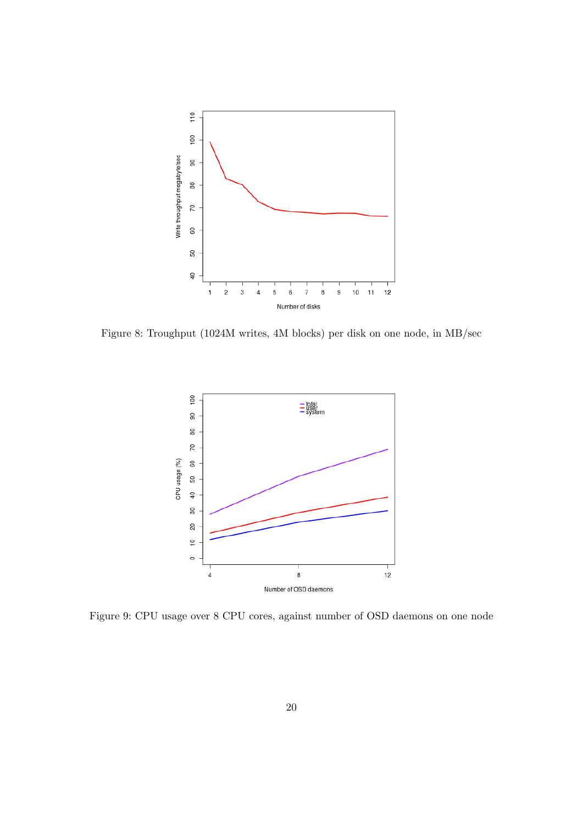

Figure 8: Troughput (1024M writes, 4M blocks) per disk on one node, in MB/sec



Figure 9: CPU usage over 8 CPU cores, against number of OSD daemons on one node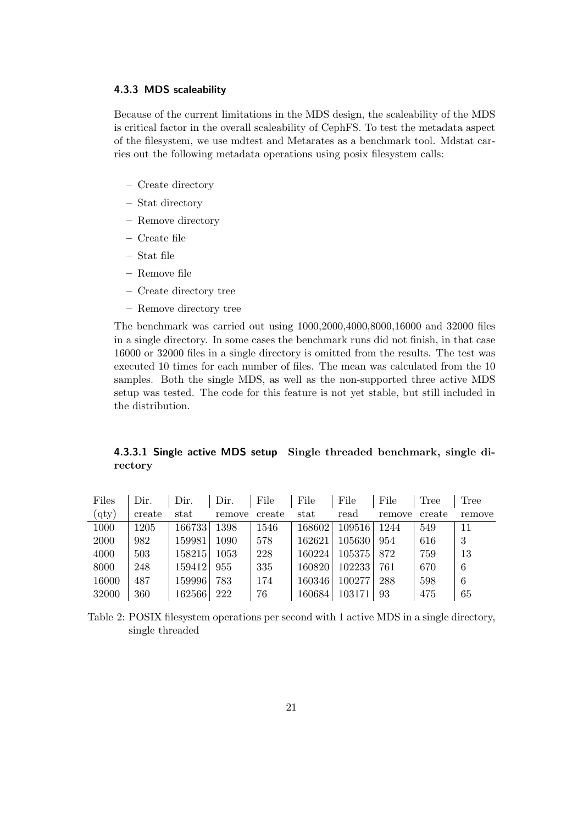#### 4.3.3 MDS scaleability

Because of the current limitations in the MDS design, the scaleability of the MDS is critical factor in the overall scaleability of CephFS. To test the metadata aspect of the filesystem, we use mdtest and Metarates as a benchmark tool. Mdstat carries out the following metadata operations using posix filesystem calls:

- Create directory
- Stat directory
- Remove directory
- Create file
- Stat file
- Remove file
- Create directory tree
- Remove directory tree

The benchmark was carried out using 1000,2000,4000,8000,16000 and 32000 files in a single directory. In some cases the benchmark runs did not finish, in that case 16000 or 32000 files in a single directory is omitted from the results. The test was executed 10 times for each number of files. The mean was calculated from the 10 samples. Both the single MDS, as well as the non-supported three active MDS setup was tested. The code for this feature is not yet stable, but still included in the distribution.

4.3.3.1 Single active MDS setup Single threaded benchmark, single directory

| Files       | Dir.   | Dir.   | Dir.   | File   | File   | File   | File   | Tree   | Tree   |
|-------------|--------|--------|--------|--------|--------|--------|--------|--------|--------|
| $\rm (qty)$ | create | stat   | remove | create | stat   | read   | remove | create | remove |
| 1000        | 1205   | 166733 | 1398   | 1546   | 168602 | 109516 | 1244   | 549    | 11     |
| 2000        | 982    | 159981 | 1090   | 578    | 162621 | 105630 | 954    | 616    | 3      |
| 4000        | 503    | 158215 | 1053   | 228    | 160224 | 105375 | 872    | 759    | 13     |
| 8000        | 248    | 159412 | 955    | 335    | 160820 | 102233 | 761    | 670    | 6      |
| 16000       | 487    | 159996 | 783    | 174    | 160346 | 100277 | 288    | 598    | 6      |
| 32000       | 360    | 162566 | 222    | 76     | 160684 | 103171 | 93     | 475    | 65     |

Table 2: POSIX filesystem operations per second with 1 active MDS in a single directory, single threaded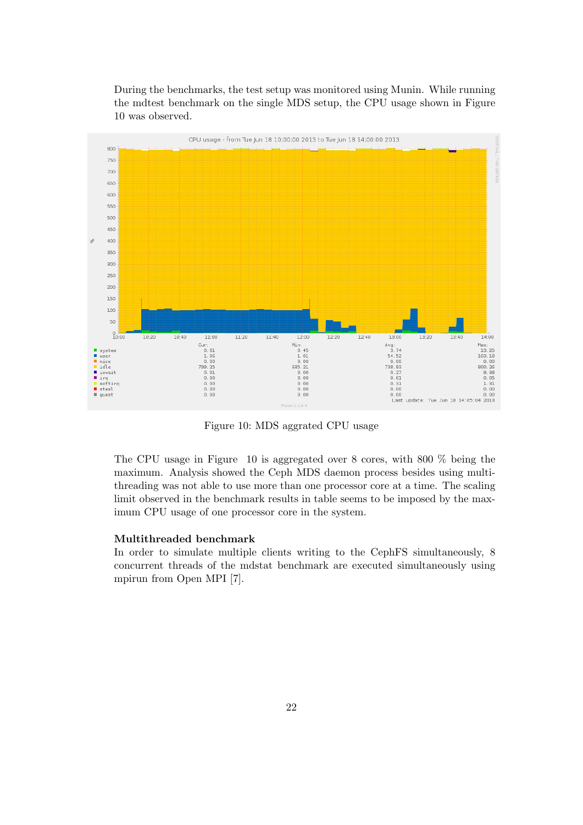During the benchmarks, the test setup was monitored using Munin. While running the mdtest benchmark on the single MDS setup, the CPU usage shown in Figure 10 was observed.



Figure 10: MDS aggrated CPU usage

The CPU usage in Figure 10 is aggregated over 8 cores, with 800 % being the maximum. Analysis showed the Ceph MDS daemon process besides using multithreading was not able to use more than one processor core at a time. The scaling limit observed in the benchmark results in table seems to be imposed by the maximum CPU usage of one processor core in the system.

#### Multithreaded benchmark

In order to simulate multiple clients writing to the CephFS simultaneously, 8 concurrent threads of the mdstat benchmark are executed simultaneously using mpirun from Open MPI [7].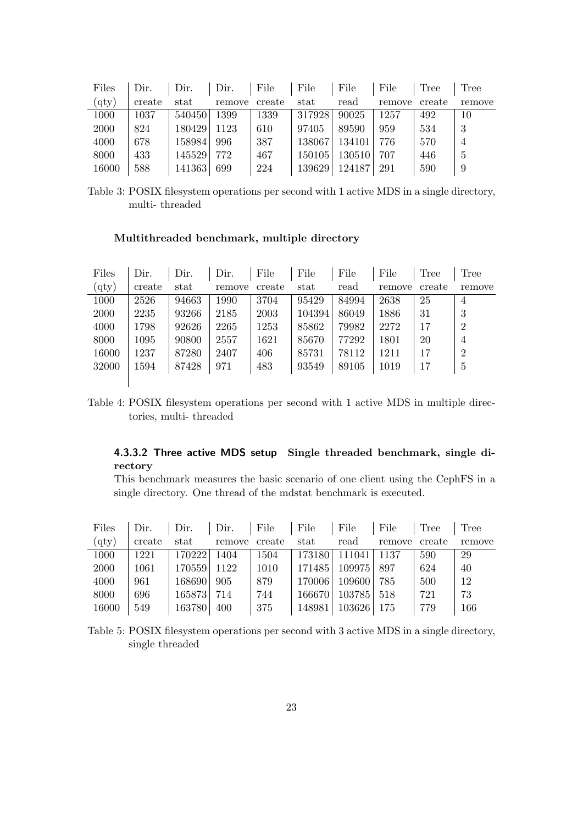| Files | Dir.   | Dir.          | Dir.   | File   | File   | File   | File   | Tree   | <b>Tree</b> |
|-------|--------|---------------|--------|--------|--------|--------|--------|--------|-------------|
| (qty) | create | $_{\rm stat}$ | remove | create | stat   | read   | remove | create | remove      |
| 1000  | 1037   | 540450        | 1399   | 1339   | 317928 | 90025  | 1257   | 492    | 10          |
| 2000  | 824    | 180429        | 1123   | 610    | 97405  | 89590  | 959    | 534    |             |
| 4000  | 678    | 158984        | 996    | 387    | 138067 | 134101 | 776    | 570    |             |
| 8000  | 433    | 145529        | 772    | 467    | 150105 | 130510 | 707    | 446    | 5           |
| 16000 | 588    | 141363        | 699    | 224    | 139629 | 124187 | 291    | 590    | 9           |

Table 3: POSIX filesystem operations per second with 1 active MDS in a single directory, multi- threaded

#### Multithreaded benchmark, multiple directory

| Files       | Dir.   | Dir.  | Dir.   | File   | File          | File  | File   | Tree   | Tree           |
|-------------|--------|-------|--------|--------|---------------|-------|--------|--------|----------------|
| $\rm (qty)$ | create | stat  | remove | create | $_{\rm stat}$ | read  | remove | create | remove         |
| 1000        | 2526   | 94663 | 1990   | 3704   | 95429         | 84994 | 2638   | 25     | $\overline{4}$ |
| 2000        | 2235   | 93266 | 2185   | 2003   | 104394        | 86049 | 1886   | 31     | 3              |
| 4000        | 1798   | 92626 | 2265   | 1253   | 85862         | 79982 | 2272   | 17     | 2              |
| 8000        | 1095   | 90800 | 2557   | 1621   | 85670         | 77292 | 1801   | 20     | $\overline{4}$ |
| 16000       | 1237   | 87280 | 2407   | 406    | 85731         | 78112 | 1211   | 17     | $\overline{2}$ |
| 32000       | 1594   | 87428 | 971    | 483    | 93549         | 89105 | 1019   | 17     | 5              |
|             |        |       |        |        |               |       |        |        |                |

Table 4: POSIX filesystem operations per second with 1 active MDS in multiple directories, multi- threaded

# 4.3.3.2 Three active MDS setup Single threaded benchmark, single directory

This benchmark measures the basic scenario of one client using the CephFS in a single directory. One thread of the mdstat benchmark is executed.

| Files       | Dir.   | Dir.    | Dir.   | File   | File   | File       | File   | Tree   | Tree   |
|-------------|--------|---------|--------|--------|--------|------------|--------|--------|--------|
| (qty)       | create | stat    | remove | create | stat   | read       | remove | create | remove |
| 1000        | 1221   | 170222  | 1404   | 1504   | 173180 | 111041     | 1137   | 590    | 29     |
| <b>2000</b> | 1061   | 1705591 | 1122   | 1010   | 171485 | 109975     | 897    | 624    | 40     |
| 4000        | 961    | 168690  | 905    | 879    | 170006 | 109600     | 785    | 500    | 12     |
| 8000        | 696    | 1658731 | 714    | 744    | 166670 | 103785 518 |        | 721    | 73     |
| 16000       | 549    | 163780  | 400    | 375    | 148981 | 103626     | 175    | 779    | 166    |

Table 5: POSIX filesystem operations per second with 3 active MDS in a single directory, single threaded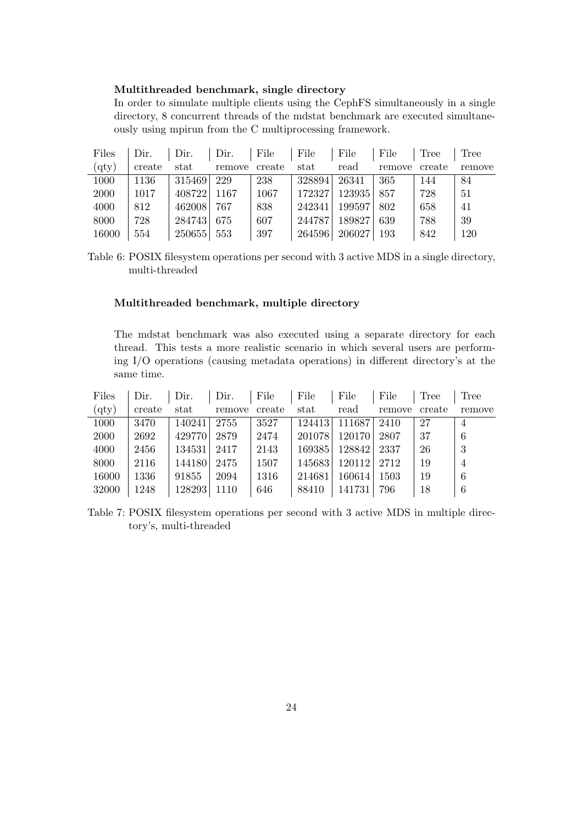#### Multithreaded benchmark, single directory

In order to simulate multiple clients using the CephFS simultaneously in a single directory, 8 concurrent threads of the mdstat benchmark are executed simultaneously using mpirun from the C multiprocessing framework.

| Dir.   | Dir. | Dir.   | File                                           | File   | File   | File                       | Tree             | Tree   |
|--------|------|--------|------------------------------------------------|--------|--------|----------------------------|------------------|--------|
| create | stat | remove | create                                         | stat   | read   | remove                     | create           | remove |
| 1136   |      | 229    | 238                                            |        | 26341  | 365                        | 144              | 84     |
| 1017   |      | 1167   | 1067                                           | 172327 |        | 857                        | 728              | 51     |
| 812    |      | 767    | 838                                            |        |        | 802                        | 658              | 41     |
| 728    |      | 675    | 607                                            | 244787 | 189827 | 639                        | 788              | 39     |
| 554    |      | 553    | 397                                            |        | 206027 | 193                        | 842              | 120    |
|        |      |        | 315469<br>408722<br>462008<br>284743<br>250655 |        |        | 328894<br>242341<br>264596 | 123935<br>199597 |        |

Table 6: POSIX filesystem operations per second with 3 active MDS in a single directory, multi-threaded

#### Multithreaded benchmark, multiple directory

The mdstat benchmark was also executed using a separate directory for each thread. This tests a more realistic scenario in which several users are performing I/O operations (causing metadata operations) in different directory's at the same time.

| Files       | Dir.   | Dir.   | Dir.   | File   | File   | File   | File   | Tree   | Tree   |
|-------------|--------|--------|--------|--------|--------|--------|--------|--------|--------|
| $\rm (qty)$ | create | stat   | remove | create | stat   | read   | remove | create | remove |
| 1000        | 3470   | 140241 | 2755   | 3527   | 124413 | 111687 | 2410   | 27     | 4      |
| 2000        | 2692   | 429770 | 2879   | 2474   | 201078 | 120170 | 2807   | 37     | 6      |
| 4000        | 2456   | 134531 | 2417   | 2143   | 169385 | 128842 | 2337   | 26     | 3      |
| 8000        | 2116   | 144180 | 2475   | 1507   | 145683 | 120112 | 2712   | 19     | 4      |
| 16000       | 1336   | 91855  | 2094   | 1316   | 214681 | 160614 | 1503   | 19     | 6      |
| 32000       | 1248   | 128293 | 1110   | 646    | 88410  | 141731 | 796    | 18     | 6      |

Table 7: POSIX filesystem operations per second with 3 active MDS in multiple directory's, multi-threaded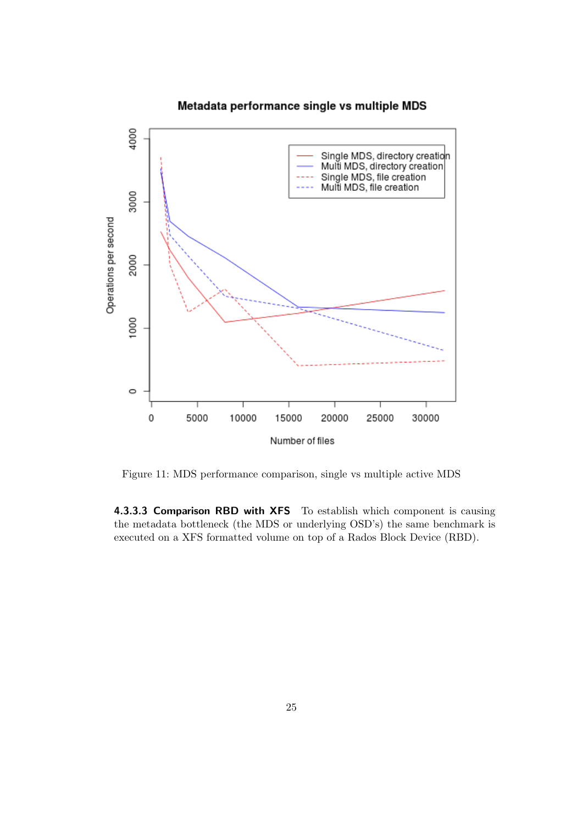



Figure 11: MDS performance comparison, single vs multiple active MDS

4.3.3.3 Comparison RBD with XFS To establish which component is causing the metadata bottleneck (the MDS or underlying OSD's) the same benchmark is executed on a XFS formatted volume on top of a Rados Block Device (RBD).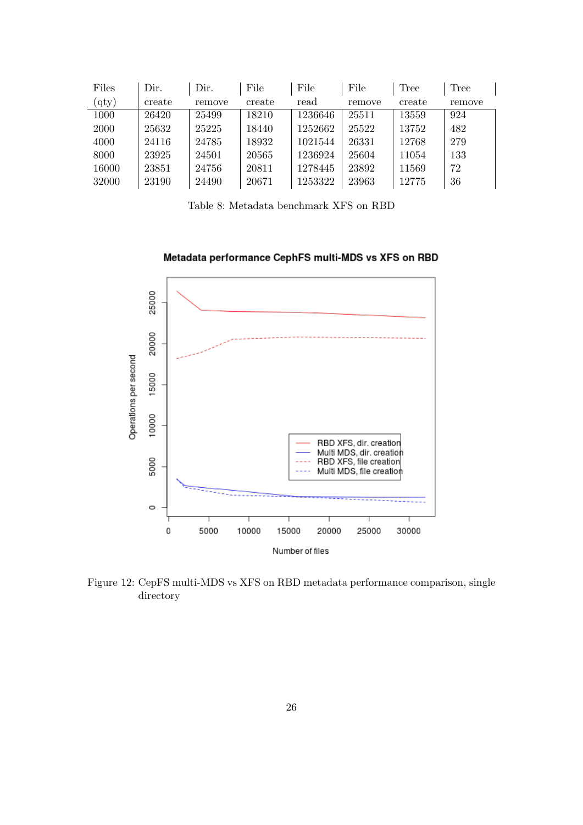| Files       | Dir.   | Dir.   | File   | File    | File   | Tree   | Tree   |
|-------------|--------|--------|--------|---------|--------|--------|--------|
| $\rm (qty)$ | create | remove | create | read    | remove | create | remove |
| 1000        | 26420  | 25499  | 18210  | 1236646 | 25511  | 13559  | 924    |
| 2000        | 25632  | 25225  | 18440  | 1252662 | 25522  | 13752  | 482    |
| 4000        | 24116  | 24785  | 18932  | 1021544 | 26331  | 12768  | 279    |
| 8000        | 23925  | 24501  | 20565  | 1236924 | 25604  | 11054  | 133    |
| 16000       | 23851  | 24756  | 20811  | 1278445 | 23892  | 11569  | 72     |
| 32000       | 23190  | 24490  | 20671  | 1253322 | 23963  | 12775  | 36     |

Table 8: Metadata benchmark XFS on RBD



Metadata performance CephFS multi-MDS vs XFS on RBD

Figure 12: CepFS multi-MDS vs XFS on RBD metadata performance comparison, single directory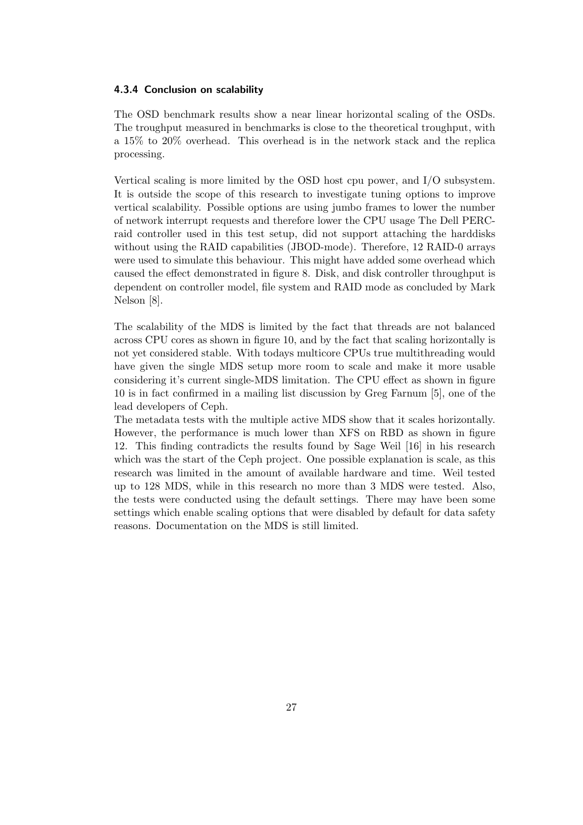#### 4.3.4 Conclusion on scalability

The OSD benchmark results show a near linear horizontal scaling of the OSDs. The troughput measured in benchmarks is close to the theoretical troughput, with a 15% to 20% overhead. This overhead is in the network stack and the replica processing.

Vertical scaling is more limited by the OSD host cpu power, and I/O subsystem. It is outside the scope of this research to investigate tuning options to improve vertical scalability. Possible options are using jumbo frames to lower the number of network interrupt requests and therefore lower the CPU usage The Dell PERCraid controller used in this test setup, did not support attaching the harddisks without using the RAID capabilities (JBOD-mode). Therefore, 12 RAID-0 arrays were used to simulate this behaviour. This might have added some overhead which caused the effect demonstrated in figure 8. Disk, and disk controller throughput is dependent on controller model, file system and RAID mode as concluded by Mark Nelson [8].

The scalability of the MDS is limited by the fact that threads are not balanced across CPU cores as shown in figure 10, and by the fact that scaling horizontally is not yet considered stable. With todays multicore CPUs true multithreading would have given the single MDS setup more room to scale and make it more usable considering it's current single-MDS limitation. The CPU effect as shown in figure 10 is in fact confirmed in a mailing list discussion by Greg Farnum [5], one of the lead developers of Ceph.

The metadata tests with the multiple active MDS show that it scales horizontally. However, the performance is much lower than XFS on RBD as shown in figure 12. This finding contradicts the results found by Sage Weil [16] in his research which was the start of the Ceph project. One possible explanation is scale, as this research was limited in the amount of available hardware and time. Weil tested up to 128 MDS, while in this research no more than 3 MDS were tested. Also, the tests were conducted using the default settings. There may have been some settings which enable scaling options that were disabled by default for data safety reasons. Documentation on the MDS is still limited.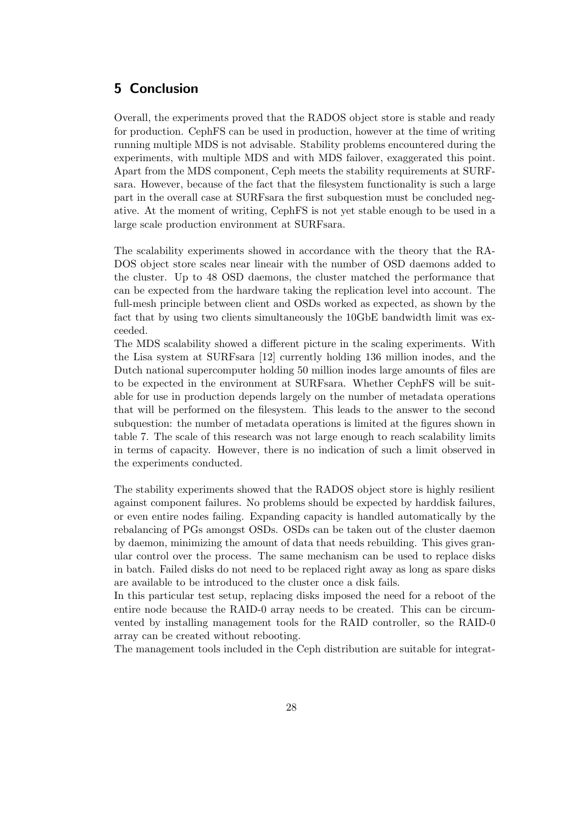# 5 Conclusion

Overall, the experiments proved that the RADOS object store is stable and ready for production. CephFS can be used in production, however at the time of writing running multiple MDS is not advisable. Stability problems encountered during the experiments, with multiple MDS and with MDS failover, exaggerated this point. Apart from the MDS component, Ceph meets the stability requirements at SURFsara. However, because of the fact that the filesystem functionality is such a large part in the overall case at SURFsara the first subquestion must be concluded negative. At the moment of writing, CephFS is not yet stable enough to be used in a large scale production environment at SURFsara.

The scalability experiments showed in accordance with the theory that the RA-DOS object store scales near lineair with the number of OSD daemons added to the cluster. Up to 48 OSD daemons, the cluster matched the performance that can be expected from the hardware taking the replication level into account. The full-mesh principle between client and OSDs worked as expected, as shown by the fact that by using two clients simultaneously the 10GbE bandwidth limit was exceeded.

The MDS scalability showed a different picture in the scaling experiments. With the Lisa system at SURFsara [12] currently holding 136 million inodes, and the Dutch national supercomputer holding 50 million inodes large amounts of files are to be expected in the environment at SURFsara. Whether CephFS will be suitable for use in production depends largely on the number of metadata operations that will be performed on the filesystem. This leads to the answer to the second subquestion: the number of metadata operations is limited at the figures shown in table 7. The scale of this research was not large enough to reach scalability limits in terms of capacity. However, there is no indication of such a limit observed in the experiments conducted.

The stability experiments showed that the RADOS object store is highly resilient against component failures. No problems should be expected by harddisk failures, or even entire nodes failing. Expanding capacity is handled automatically by the rebalancing of PGs amongst OSDs. OSDs can be taken out of the cluster daemon by daemon, minimizing the amount of data that needs rebuilding. This gives granular control over the process. The same mechanism can be used to replace disks in batch. Failed disks do not need to be replaced right away as long as spare disks are available to be introduced to the cluster once a disk fails.

In this particular test setup, replacing disks imposed the need for a reboot of the entire node because the RAID-0 array needs to be created. This can be circumvented by installing management tools for the RAID controller, so the RAID-0 array can be created without rebooting.

The management tools included in the Ceph distribution are suitable for integrat-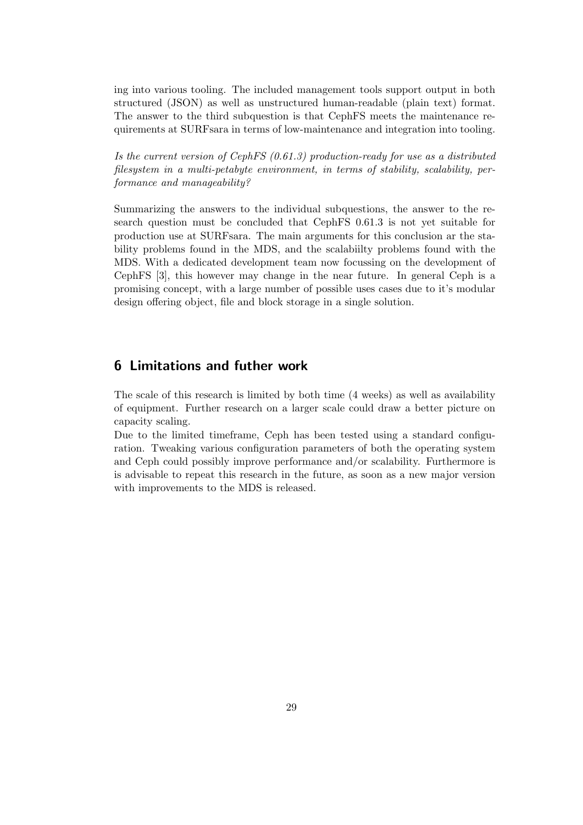ing into various tooling. The included management tools support output in both structured (JSON) as well as unstructured human-readable (plain text) format. The answer to the third subquestion is that CephFS meets the maintenance requirements at SURFsara in terms of low-maintenance and integration into tooling.

Is the current version of CephFS  $(0.61.3)$  production-ready for use as a distributed filesystem in a multi-petabyte environment, in terms of stability, scalability, performance and manageability?

Summarizing the answers to the individual subquestions, the answer to the research question must be concluded that CephFS 0.61.3 is not yet suitable for production use at SURFsara. The main arguments for this conclusion ar the stability problems found in the MDS, and the scalabiilty problems found with the MDS. With a dedicated development team now focussing on the development of CephFS [3], this however may change in the near future. In general Ceph is a promising concept, with a large number of possible uses cases due to it's modular design offering object, file and block storage in a single solution.

# 6 Limitations and futher work

The scale of this research is limited by both time (4 weeks) as well as availability of equipment. Further research on a larger scale could draw a better picture on capacity scaling.

Due to the limited timeframe, Ceph has been tested using a standard configuration. Tweaking various configuration parameters of both the operating system and Ceph could possibly improve performance and/or scalability. Furthermore is is advisable to repeat this research in the future, as soon as a new major version with improvements to the MDS is released.